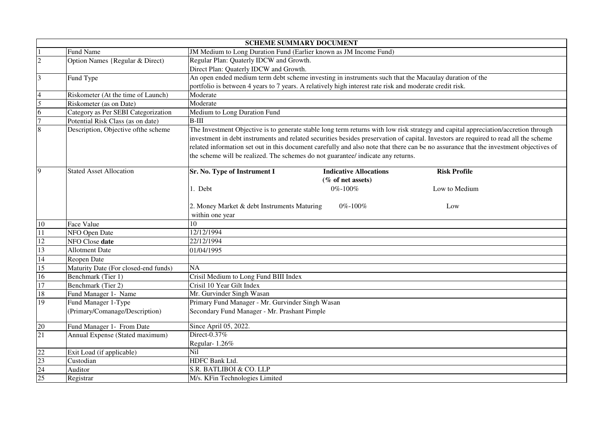|                         | <b>SCHEME SUMMARY DOCUMENT</b>       |                                                                                                                                       |  |  |  |  |
|-------------------------|--------------------------------------|---------------------------------------------------------------------------------------------------------------------------------------|--|--|--|--|
|                         | Fund Name                            | JM Medium to Long Duration Fund (Earlier known as JM Income Fund)                                                                     |  |  |  |  |
| $\overline{2}$          | Option Names {Regular & Direct)      | Regular Plan: Quaterly IDCW and Growth.                                                                                               |  |  |  |  |
|                         |                                      | Direct Plan: Quaterly IDCW and Growth.                                                                                                |  |  |  |  |
| $\overline{\mathbf{3}}$ | Fund Type                            | An open ended medium term debt scheme investing in instruments such that the Macaulay duration of the                                 |  |  |  |  |
|                         |                                      | portfolio is between 4 years to 7 years. A relatively high interest rate risk and moderate credit risk.                               |  |  |  |  |
|                         | Riskometer (At the time of Launch)   | Moderate                                                                                                                              |  |  |  |  |
| 5                       | Riskometer (as on Date)              | Moderate                                                                                                                              |  |  |  |  |
| 6                       | Category as Per SEBI Categorization  | Medium to Long Duration Fund                                                                                                          |  |  |  |  |
|                         | Potential Risk Class (as on date)    | $B-III$                                                                                                                               |  |  |  |  |
| $\overline{8}$          | Description, Objective of the scheme | The Investment Objective is to generate stable long term returns with low risk strategy and capital appreciation/accretion through    |  |  |  |  |
|                         |                                      | investment in debt instruments and related securities besides preservation of capital. Investors are required to read all the scheme  |  |  |  |  |
|                         |                                      | related information set out in this document carefully and also note that there can be no assurance that the investment objectives of |  |  |  |  |
|                         |                                      | the scheme will be realized. The schemes do not guarantee/ indicate any returns.                                                      |  |  |  |  |
|                         |                                      |                                                                                                                                       |  |  |  |  |
| 9                       | <b>Stated Asset Allocation</b>       | Sr. No. Type of Instrument I<br><b>Indicative Allocations</b><br><b>Risk Profile</b>                                                  |  |  |  |  |
|                         |                                      | (% of net assets)                                                                                                                     |  |  |  |  |
|                         |                                      | 1. Debt<br>0%-100%<br>Low to Medium                                                                                                   |  |  |  |  |
|                         |                                      |                                                                                                                                       |  |  |  |  |
|                         |                                      | 2. Money Market & debt Instruments Maturing<br>$0\% - 100\%$<br>Low                                                                   |  |  |  |  |
|                         |                                      | within one year                                                                                                                       |  |  |  |  |
| 10                      | Face Value                           | 10                                                                                                                                    |  |  |  |  |
| 11                      | NFO Open Date                        | 12/12/1994                                                                                                                            |  |  |  |  |
| 12                      | NFO Close date                       | $\sqrt{22}/12/1994$                                                                                                                   |  |  |  |  |
| 13                      | <b>Allotment Date</b>                | 01/04/1995                                                                                                                            |  |  |  |  |
| 14                      | Reopen Date                          |                                                                                                                                       |  |  |  |  |
| 15                      | Maturity Date (For closed-end funds) | NA                                                                                                                                    |  |  |  |  |
| 16                      | Benchmark (Tier 1)                   | Crisil Medium to Long Fund BIII Index                                                                                                 |  |  |  |  |
| 17                      | Benchmark (Tier 2)                   | Crisil 10 Year Gilt Index                                                                                                             |  |  |  |  |
| 18                      | Fund Manager 1- Name                 | Mr. Gurvinder Singh Wasan                                                                                                             |  |  |  |  |
| 19                      | Fund Manager 1-Type                  | Primary Fund Manager - Mr. Gurvinder Singh Wasan                                                                                      |  |  |  |  |
|                         | (Primary/Comanage/Description)       | Secondary Fund Manager - Mr. Prashant Pimple                                                                                          |  |  |  |  |
|                         |                                      |                                                                                                                                       |  |  |  |  |
| 20                      | Fund Manager 1- From Date            | Since April 05, 2022.                                                                                                                 |  |  |  |  |
| 21                      | Annual Expense (Stated maximum)      | Direct-0.37%                                                                                                                          |  |  |  |  |
|                         |                                      | Regular-1.26%                                                                                                                         |  |  |  |  |
| 22                      | Exit Load (if applicable)            | Nil                                                                                                                                   |  |  |  |  |
| $\overline{23}$         | Custodian                            | HDFC Bank Ltd.                                                                                                                        |  |  |  |  |
| 24                      | Auditor                              | S.R. BATLIBOI & CO. LLP                                                                                                               |  |  |  |  |
| 25                      | Registrar                            | M/s. KFin Technologies Limited                                                                                                        |  |  |  |  |
|                         |                                      |                                                                                                                                       |  |  |  |  |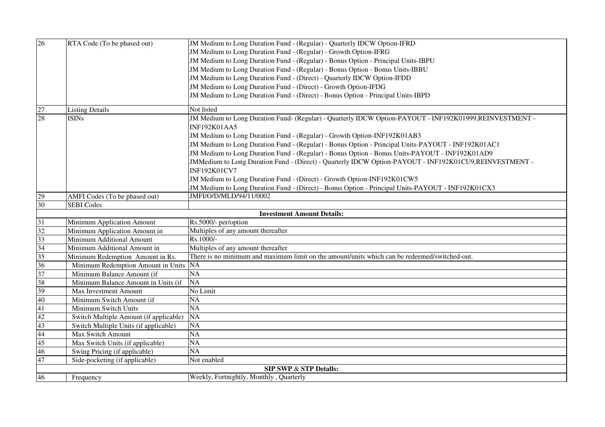| $\overline{26}$                   | RTA Code (To be phased out)            | JM Medium to Long Duration Fund - (Regular) - Quarterly IDCW Option-IFRD                                                       |  |  |  |
|-----------------------------------|----------------------------------------|--------------------------------------------------------------------------------------------------------------------------------|--|--|--|
|                                   |                                        | JM Medium to Long Duration Fund - (Regular) - Growth Option-IFRG                                                               |  |  |  |
|                                   |                                        | JM Medium to Long Duration Fund - (Regular) - Bonus Option - Principal Units-IBPU                                              |  |  |  |
|                                   |                                        | JM Medium to Long Duration Fund - (Regular) - Bonus Option - Bonus Units-IBBU                                                  |  |  |  |
|                                   |                                        | JM Medium to Long Duration Fund - (Direct) - Quarterly IDCW Option-IFDD                                                        |  |  |  |
|                                   |                                        | JM Medium to Long Duration Fund - (Direct) - Growth Option-IFDG                                                                |  |  |  |
|                                   |                                        | JM Medium to Long Duration Fund - (Direct) - Bonus Option - Principal Units-IBPD                                               |  |  |  |
|                                   |                                        |                                                                                                                                |  |  |  |
| 27                                | <b>Listing Details</b>                 | Not listed                                                                                                                     |  |  |  |
| 28                                | <b>ISINs</b>                           | JM Medium to Long Duration Fund- (Regular) - Quarterly IDCW Option-PAYOUT - INF192K01999,REINVESTMENT -<br><b>INF192K01AA5</b> |  |  |  |
|                                   |                                        | JM Medium to Long Duration Fund - (Regular) - Growth Option-INF192K01AB3                                                       |  |  |  |
|                                   |                                        | JM Medium to Long Duration Fund - (Regular) - Bonus Option - Principal Units-PAYOUT - INF192K01AC1                             |  |  |  |
|                                   |                                        | JM Medium to Long Duration Fund - (Regular) - Bonus Option - Bonus Units-PAYOUT - INF192K01AD9                                 |  |  |  |
|                                   |                                        | JMMedium to Long Duration Fund - (Direct) - Quarterly IDCW Option-PAYOUT - INF192K01CU9,REINVESTMENT -                         |  |  |  |
|                                   |                                        | <b>INF192K01CV7</b>                                                                                                            |  |  |  |
|                                   |                                        | JM Medium to Long Duration Fund - (Direct) - Growth Option-INF192K01CW5                                                        |  |  |  |
|                                   |                                        | JM Medium to Long Duration Fund - (Direct) - Bonus Option - Principal Units-PAYOUT - INF192K01CX3                              |  |  |  |
| 29                                | AMFI Codes (To be phased out)          | JMFI/O/D/MLD/94/11/0002                                                                                                        |  |  |  |
| 30                                | <b>SEBI</b> Codes                      |                                                                                                                                |  |  |  |
|                                   | <b>Investment Amount Details:</b>      |                                                                                                                                |  |  |  |
| 31                                | Minimum Application Amount             | Rs.5000/- per/option                                                                                                           |  |  |  |
| $\overline{32}$                   | Minimum Application Amount in          | Multiples of any amount thereafter                                                                                             |  |  |  |
| 33                                | Minimum Additional Amount              | Rs.1000/-                                                                                                                      |  |  |  |
| 34                                | Minimum Additional Amount in           | Multiples of any amount thereafter                                                                                             |  |  |  |
| 35                                | Minimum Redemption Amount in Rs.       | There is no minimum and maximum limit on the amount/units which can be redeemed/switched-out.                                  |  |  |  |
| 36                                | Minimum Redemption Amount in Units     | <b>NA</b>                                                                                                                      |  |  |  |
| 37                                | Minimum Balance Amount (if             | <b>NA</b>                                                                                                                      |  |  |  |
| 38                                | Minimum Balance Amount in Units (if    | <b>NA</b>                                                                                                                      |  |  |  |
| 39                                | <b>Max Investment Amount</b>           | No Limit                                                                                                                       |  |  |  |
| 40                                | Minimum Switch Amount (if              | NA                                                                                                                             |  |  |  |
| 41                                | Minimum Switch Units                   | NA                                                                                                                             |  |  |  |
| 42                                | Switch Multiple Amount (if applicable) | <b>NA</b>                                                                                                                      |  |  |  |
| 43                                | Switch Multiple Units (if applicable)  | NA                                                                                                                             |  |  |  |
| 44                                | Max Switch Amount                      | $\overline{NA}$                                                                                                                |  |  |  |
| 45                                | Max Switch Units (if applicable)       | NA                                                                                                                             |  |  |  |
| 46                                | Swing Pricing (if applicable)          | NA                                                                                                                             |  |  |  |
| 47                                | Side-pocketing (if applicable)         | Not enabled                                                                                                                    |  |  |  |
| <b>SIP SWP &amp; STP Details:</b> |                                        |                                                                                                                                |  |  |  |
| 46                                | Frequency                              | Weekly, Fortnightly, Monthly, Quarterly                                                                                        |  |  |  |